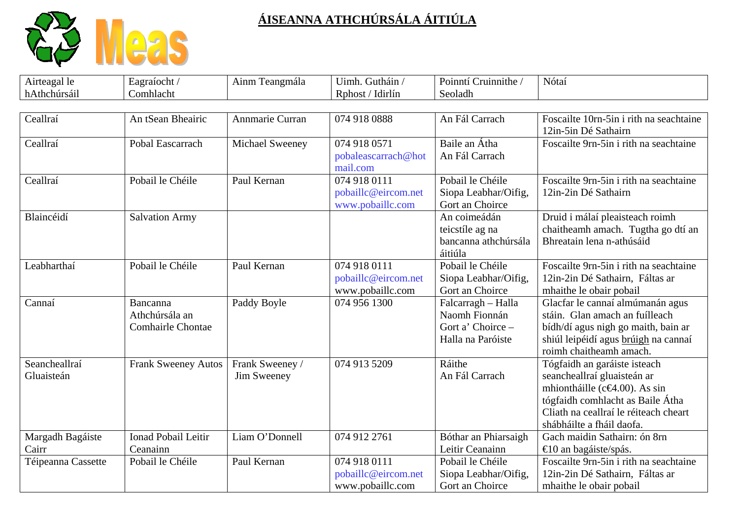

| Airteagal le                | Eagraíocht /                                           | Ainm Teangmála                 | Uimh. Gutháin /                                         | Poinntí Cruinnithe /                                                          | Nótaí                                                                                                                                                                                                             |
|-----------------------------|--------------------------------------------------------|--------------------------------|---------------------------------------------------------|-------------------------------------------------------------------------------|-------------------------------------------------------------------------------------------------------------------------------------------------------------------------------------------------------------------|
| hAthchúrsáil                | Comhlacht                                              |                                | Rphost / Idirlín                                        | Seoladh                                                                       |                                                                                                                                                                                                                   |
| Ceallraí                    | An tSean Bheairic                                      | Annmarie Curran                | 074 918 0888                                            | An Fál Carrach                                                                | Foscailte 10rn-5in i rith na seachtaine<br>12in-5in Dé Sathairn                                                                                                                                                   |
| Ceallraí                    | Pobal Eascarrach                                       | Michael Sweeney                | 074 918 0571<br>pobaleascarrach@hot<br>mail.com         | Baile an Átha<br>An Fál Carrach                                               | Foscailte 9rn-5in i rith na seachtaine                                                                                                                                                                            |
| Ceallraí                    | Pobail le Chéile                                       | Paul Kernan                    | 074 918 0111<br>pobaillc@eircom.net<br>www.pobaillc.com | Pobail le Chéile<br>Siopa Leabhar/Oifig,<br>Gort an Choirce                   | Foscailte 9rn-5in i rith na seachtaine<br>12in-2in Dé Sathairn                                                                                                                                                    |
| Blaincéidí                  | <b>Salvation Army</b>                                  |                                |                                                         | An coimeádán<br>teicstíle ag na<br>bancanna athchúrsála<br>áitiúla            | Druid i málaí pleaisteach roimh<br>chaitheamh amach. Tugtha go dtí an<br>Bhreatain lena n-athúsáid                                                                                                                |
| Leabharthaí                 | Pobail le Chéile                                       | Paul Kernan                    | 074 918 0111<br>pobaillc@eircom.net<br>www.pobaillc.com | Pobail le Chéile<br>Siopa Leabhar/Oifig,<br>Gort an Choirce                   | Foscailte 9rn-5in i rith na seachtaine<br>12in-2in Dé Sathairn, Fáltas ar<br>mhaithe le obair pobail                                                                                                              |
| Cannaí                      | Bancanna<br>Athchúrsála an<br><b>Comhairle Chontae</b> | Paddy Boyle                    | 074 956 1300                                            | Falcarragh - Halla<br>Naomh Fionnán<br>Gort a' Choirce -<br>Halla na Paróiste | Glacfar le cannaí almúmanán agus<br>stáin. Glan amach an fuílleach<br>bídh/dí agus nigh go maith, bain ar<br>shiúl leipéidí agus brúigh na cannaí<br>roimh chaitheamh amach.                                      |
| Seancheallraí<br>Gluaisteán | <b>Frank Sweeney Autos</b>                             | Frank Sweeney /<br>Jim Sweeney | 074 913 5209                                            | Ráithe<br>An Fál Carrach                                                      | Tógfaidh an garáiste isteach<br>seancheallraí gluaisteán ar<br>mhiontháille (c $\bigoplus$ .00). As sin<br>tógfaidh comhlacht as Baile Átha<br>Cliath na ceallraí le réiteach cheart<br>shábháilte a fháil daofa. |
| Margadh Bagáiste<br>Cairr   | <b>Ionad Pobail Leitir</b><br>Ceanainn                 | Liam O'Donnell                 | 074 912 2761                                            | Bóthar an Phiarsaigh<br>Leitir Ceanainn                                       | Gach maidin Sathairn: ón 8rn<br>$\bigoplus$ 0 an bagáiste/spás.                                                                                                                                                   |
| Téipeanna Cassette          | Pobail le Chéile                                       | Paul Kernan                    | 074 918 0111<br>pobaillc@eircom.net<br>www.pobaillc.com | Pobail le Chéile<br>Siopa Leabhar/Oifig,<br>Gort an Choirce                   | Foscailte 9rn-5in i rith na seachtaine<br>12in-2in Dé Sathairn, Fáltas ar<br>mhaithe le obair pobail                                                                                                              |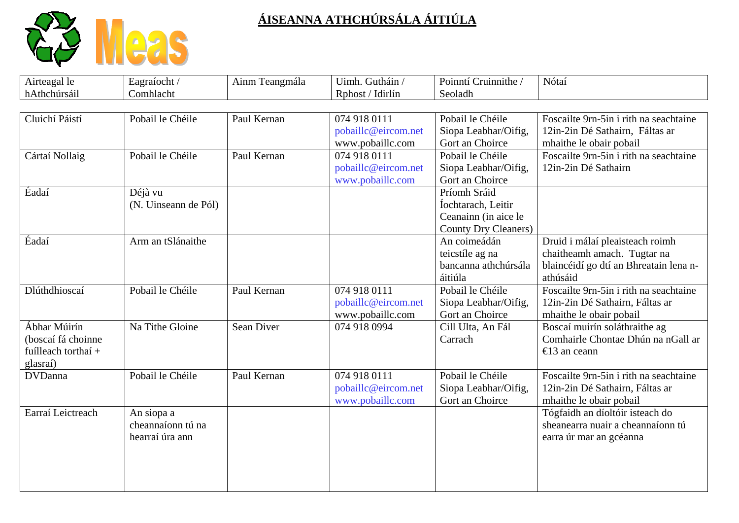

| Airteagal le        | Eagraíocht /         | Ainm Teangmála    | Uimh. Gutháin /     | Poinntí Cruinnithe / | Nótaí                                  |
|---------------------|----------------------|-------------------|---------------------|----------------------|----------------------------------------|
| hAthchúrsáil        | Comhlacht            |                   | Rphost / Idirlín    | Seoladh              |                                        |
|                     |                      |                   |                     |                      |                                        |
| Cluichí Páistí      | Pobail le Chéile     | Paul Kernan       | 074 918 0111        | Pobail le Chéile     | Foscailte 9rn-5in i rith na seachtaine |
|                     |                      |                   | pobaillc@eircom.net | Siopa Leabhar/Oifig, | 12in-2in Dé Sathairn, Fáltas ar        |
|                     |                      |                   | www.pobaillc.com    | Gort an Choirce      | mhaithe le obair pobail                |
| Cártaí Nollaig      | Pobail le Chéile     | Paul Kernan       | 074 918 0111        | Pobail le Chéile     | Foscailte 9rn-5in i rith na seachtaine |
|                     |                      |                   | pobaillc@eircom.net | Siopa Leabhar/Oifig, | 12in-2in Dé Sathairn                   |
|                     |                      |                   | www.pobaillc.com    | Gort an Choirce      |                                        |
| Éadaí               | Déjà vu              |                   |                     | Príomh Sráid         |                                        |
|                     | (N. Uinseann de Pól) |                   |                     | Íochtarach, Leitir   |                                        |
|                     |                      |                   |                     | Ceanainn (in aice le |                                        |
|                     |                      |                   |                     | County Dry Cleaners) |                                        |
| Éadaí               | Arm an tSlánaithe    |                   |                     | An coimeádán         | Druid i málaí pleaisteach roimh        |
|                     |                      |                   |                     | teicstíle ag na      | chaitheamh amach. Tugtar na            |
|                     |                      |                   |                     | bancanna athchúrsála | blaincéidí go dtí an Bhreatain lena n- |
|                     |                      |                   |                     | áitiúla              | athúsáid                               |
| Dlúthdhioscaí       | Pobail le Chéile     | Paul Kernan       | 074 918 0111        | Pobail le Chéile     | Foscailte 9rn-5in i rith na seachtaine |
|                     |                      |                   | pobaillc@eircom.net | Siopa Leabhar/Oifig, | 12in-2in Dé Sathairn, Fáltas ar        |
|                     |                      |                   | www.pobaillc.com    | Gort an Choirce      | mhaithe le obair pobail                |
| Ábhar Múirín        | Na Tithe Gloine      | <b>Sean Diver</b> | 074 918 0994        | Cill Ulta, An Fál    | Boscaí muirín soláthraithe ag          |
| (boscaí fá choinne  |                      |                   |                     | Carrach              | Comhairle Chontae Dhún na nGall ar     |
| fuílleach torthaí + |                      |                   |                     |                      | €13 an ceann                           |
| glasraí)            |                      |                   |                     |                      |                                        |
| <b>DVDanna</b>      | Pobail le Chéile     | Paul Kernan       | 074 918 0111        | Pobail le Chéile     | Foscailte 9rn-5in i rith na seachtaine |
|                     |                      |                   | pobaillc@eircom.net | Siopa Leabhar/Oifig, | 12in-2in Dé Sathairn, Fáltas ar        |
|                     |                      |                   | www.pobaillc.com    | Gort an Choirce      | mhaithe le obair pobail                |
| Earraí Leictreach   | An siopa a           |                   |                     |                      | Tógfaidh an díoltóir isteach do        |
|                     | cheannaíonn tú na    |                   |                     |                      | sheanearra nuair a cheannaíonn tú      |
|                     | hearraí úra ann      |                   |                     |                      | earra úr mar an gcéanna                |
|                     |                      |                   |                     |                      |                                        |
|                     |                      |                   |                     |                      |                                        |
|                     |                      |                   |                     |                      |                                        |
|                     |                      |                   |                     |                      |                                        |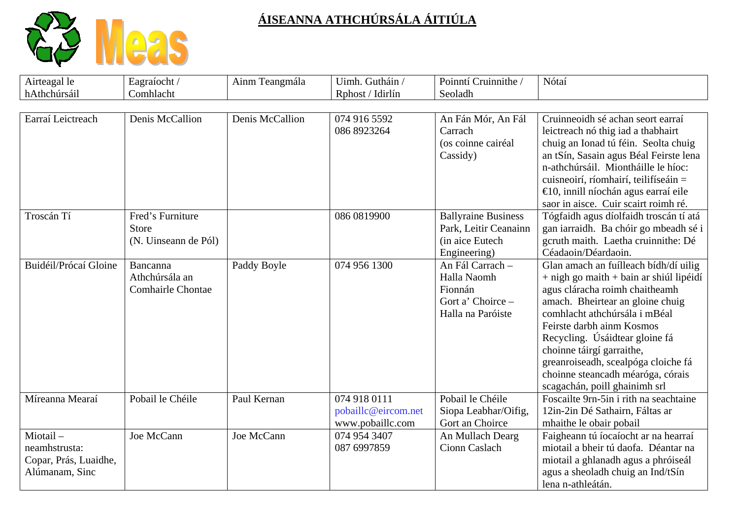

| Airteagal le<br>hAthchúrsáil                                         | Eagraíocht /<br>Comhlacht                                | Ainm Teangmála  | Uimh. Gutháin /<br>Rphost / Idirlín                     | Poinntí Cruinnithe /<br>Seoladh                                                        | Nótaí                                                                                                                                                                                                                                                                                                                                                                                                |
|----------------------------------------------------------------------|----------------------------------------------------------|-----------------|---------------------------------------------------------|----------------------------------------------------------------------------------------|------------------------------------------------------------------------------------------------------------------------------------------------------------------------------------------------------------------------------------------------------------------------------------------------------------------------------------------------------------------------------------------------------|
|                                                                      |                                                          |                 |                                                         |                                                                                        |                                                                                                                                                                                                                                                                                                                                                                                                      |
| Earraí Leictreach                                                    | Denis McCallion                                          | Denis McCallion | 074 916 5592<br>086 8923264                             | An Fán Mór, An Fál<br>Carrach<br>(os coinne cairéal<br>Cassidy)                        | Cruinneoidh sé achan seort earraí<br>leictreach nó thig iad a thabhairt<br>chuig an Ionad tú féin. Seolta chuig<br>an tSín, Sasain agus Béal Feirste lena<br>n-athchúrsáil. Miontháille le híoc:<br>cuisneoirí, ríomhairí, teilifíseáin =<br>$\bigoplus$ 0, innill níochán agus earraí eile<br>saor in aisce. Cuir scairt roimh ré.                                                                  |
| Troscán Tí                                                           | Fred's Furniture<br><b>Store</b><br>(N. Uinseann de Pól) |                 | 086 0819900                                             | <b>Ballyraine Business</b><br>Park, Leitir Ceanainn<br>(in aice Eutech<br>Engineering) | Tógfaidh agus díolfaidh troscán tí atá<br>gan iarraidh. Ba chóir go mbeadh sé i<br>gcruth maith. Laetha cruinnithe: Dé<br>Céadaoin/Déardaoin.                                                                                                                                                                                                                                                        |
| Buidéil/Prócaí Gloine                                                | Bancanna<br>Athchúrsála an<br><b>Comhairle Chontae</b>   | Paddy Boyle     | 074 956 1300                                            | An Fál Carrach -<br>Halla Naomh<br>Fionnán<br>Gort a' Choirce -<br>Halla na Paróiste   | Glan amach an fuílleach bídh/dí uilig<br>$+$ nigh go maith $+$ bain ar shiúl lipéidí<br>agus cláracha roimh chaitheamh<br>amach. Bheirtear an gloine chuig<br>comhlacht athchúrsála i mBéal<br>Feirste darbh ainm Kosmos<br>Recycling. Úsáidtear gloine fá<br>choinne táirgí garraithe,<br>greanroiseadh, scealpóga cloiche fá<br>choinne steancadh méaróga, córais<br>scagachán, poill ghainimh srl |
| Míreanna Mearaí                                                      | Pobail le Chéile                                         | Paul Kernan     | 074 918 0111<br>pobaillc@eircom.net<br>www.pobaillc.com | Pobail le Chéile<br>Siopa Leabhar/Oifig,<br>Gort an Choirce                            | Foscailte 9rn-5in i rith na seachtaine<br>12in-2in Dé Sathairn, Fáltas ar<br>mhaithe le obair pobail                                                                                                                                                                                                                                                                                                 |
| Miotail-<br>neamhstrusta:<br>Copar, Prás, Luaidhe,<br>Alúmanam, Sinc | Joe McCann                                               | Joe McCann      | 074 954 3407<br>087 6997859                             | An Mullach Dearg<br>Cionn Caslach                                                      | Faigheann tú íocaíocht ar na hearraí<br>miotail a bheir tú daofa. Déantar na<br>miotail a ghlanadh agus a phróiseál<br>agus a sheoladh chuig an Ind/tSín<br>lena n-athleátán.                                                                                                                                                                                                                        |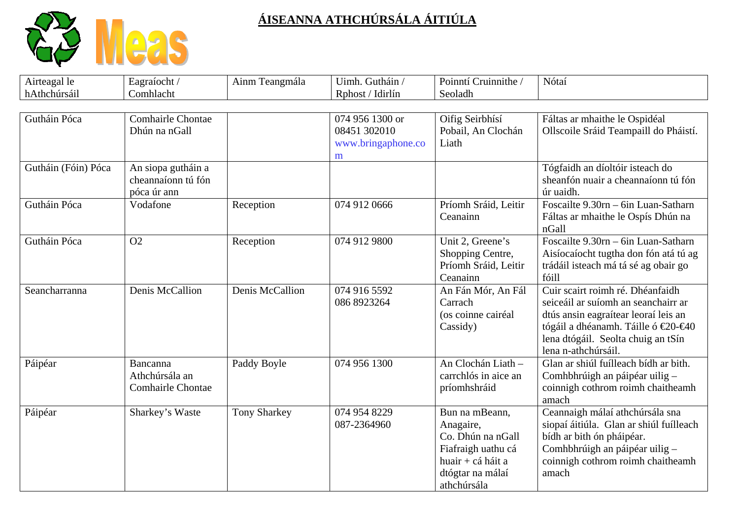

| Airteagal le        | Eagraíocht /                                            | Ainm Teangmála      | Uimh. Gutháin /                         | Poinntí Cruinnithe /                                                                                                           | Nótaí                                                                                                                                                                                                               |
|---------------------|---------------------------------------------------------|---------------------|-----------------------------------------|--------------------------------------------------------------------------------------------------------------------------------|---------------------------------------------------------------------------------------------------------------------------------------------------------------------------------------------------------------------|
| hAthchúrsáil        | Comhlacht                                               |                     | Rphost / Idirlín                        | Seoladh                                                                                                                        |                                                                                                                                                                                                                     |
| Gutháin Póca        | <b>Comhairle Chontae</b>                                |                     | 074 956 1300 or                         | Oifig Seirbhísí                                                                                                                | Fáltas ar mhaithe le Ospidéal                                                                                                                                                                                       |
|                     | Dhún na nGall                                           |                     | 08451 302010<br>www.bringaphone.co<br>m | Pobail, An Clochán<br>Liath                                                                                                    | Ollscoile Sráid Teampaill do Pháistí.                                                                                                                                                                               |
| Gutháin (Fóin) Póca | An siopa gutháin a<br>cheannaíonn tú fón<br>póca úr ann |                     |                                         |                                                                                                                                | Tógfaidh an díoltóir isteach do<br>sheanfón nuair a cheannaíonn tú fón<br>úr uaidh.                                                                                                                                 |
| Gutháin Póca        | Vodafone                                                | Reception           | 074 912 0666                            | Príomh Sráid, Leitir<br>Ceanainn                                                                                               | Foscailte 9.30rn - 6in Luan-Satharn<br>Fáltas ar mhaithe le Ospís Dhún na<br>nGall                                                                                                                                  |
| Gutháin Póca        | O <sub>2</sub>                                          | Reception           | 074 912 9800                            | Unit 2, Greene's<br>Shopping Centre,<br>Príomh Sráid, Leitir<br>Ceanainn                                                       | Foscailte 9.30rn - 6in Luan-Satharn<br>Aisíocaíocht tugtha don fón atá tú ag<br>trádáil isteach má tá sé ag obair go<br>fóill                                                                                       |
| Seancharranna       | Denis McCallion                                         | Denis McCallion     | 074 916 5592<br>086 8923264             | An Fán Mór, An Fál<br>Carrach<br>(os coinne cairéal<br>Cassidy)                                                                | Cuir scairt roimh ré. Dhéanfaidh<br>seiceáil ar suíomh an seanchairr ar<br>dtús ansin eagraítear leoraí leis an<br>tógáil a dhéanamh. Táille ó €20-€40<br>lena dtógáil. Seolta chuig an tSín<br>lena n-athchúrsáil. |
| Páipéar             | Bancanna<br>Athchúrsála an<br><b>Comhairle Chontae</b>  | Paddy Boyle         | 074 956 1300                            | An Clochán Liath -<br>carrchlós in aice an<br>príomhshráid                                                                     | Glan ar shiúl fuílleach bídh ar bith.<br>Comhbhrúigh an páipéar uilig -<br>coinnigh cothrom roimh chaitheamh<br>amach                                                                                               |
| Páipéar             | Sharkey's Waste                                         | <b>Tony Sharkey</b> | 074 954 8229<br>087-2364960             | Bun na mBeann,<br>Anagaire,<br>Co. Dhún na nGall<br>Fiafraigh uathu cá<br>huair + cá háit a<br>dtógtar na málaí<br>athchúrsála | Ceannaigh málaí athchúrsála sna<br>siopaí áitiúla. Glan ar shiúl fuílleach<br>bídh ar bith ón pháipéar.<br>Comhbhrúigh an páipéar uilig -<br>coinnigh cothrom roimh chaitheamh<br>amach                             |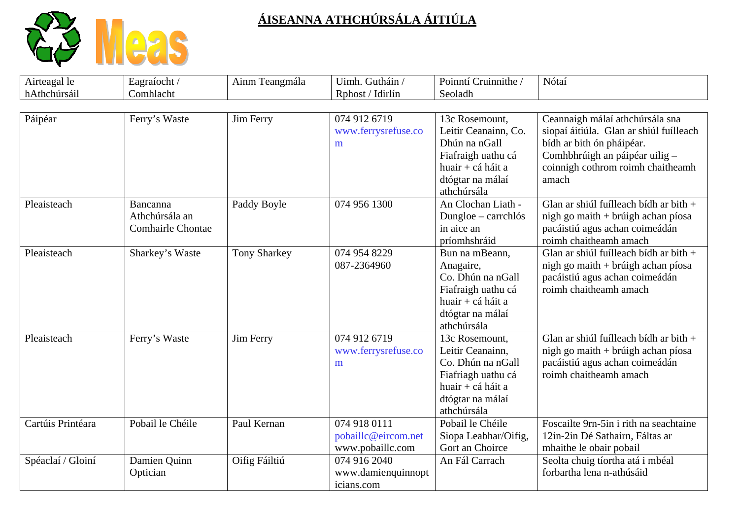

| Airteagal le      | Eagraíocht /                                           | Ainm Teangmála      | Uimh. Gutháin /                                         | Poinntí Cruinnithe /                                                                                                                  | Nótaí                                                                                                                                                                                   |
|-------------------|--------------------------------------------------------|---------------------|---------------------------------------------------------|---------------------------------------------------------------------------------------------------------------------------------------|-----------------------------------------------------------------------------------------------------------------------------------------------------------------------------------------|
| hAthchúrsáil      | Comhlacht                                              |                     | Rphost / Idirlín                                        | Seoladh                                                                                                                               |                                                                                                                                                                                         |
| Páipéar           | Ferry's Waste                                          | Jim Ferry           | 074 912 6719<br>www.ferrysrefuse.co<br>m                | 13c Rosemount,<br>Leitir Ceanainn, Co.<br>Dhún na nGall<br>Fiafraigh uathu cá<br>huair + cá háit a<br>dtógtar na málaí<br>athchúrsála | Ceannaigh málaí athchúrsála sna<br>siopaí áitiúla. Glan ar shiúl fuílleach<br>bídh ar bith ón pháipéar.<br>Comhbhrúigh an páipéar uilig -<br>coinnigh cothrom roimh chaitheamh<br>amach |
| Pleaisteach       | Bancanna<br>Athchúrsála an<br><b>Comhairle Chontae</b> | Paddy Boyle         | 074 956 1300                                            | An Clochan Liath -<br>Dungloe - carrchlós<br>in aice an<br>príomhshráid                                                               | Glan ar shiúl fuílleach bídh ar bith +<br>nigh go maith + brúigh achan píosa<br>pacáistiú agus achan coimeádán<br>roimh chaitheamh amach                                                |
| Pleaisteach       | Sharkey's Waste                                        | <b>Tony Sharkey</b> | 074 954 8229<br>087-2364960                             | Bun na mBeann,<br>Anagaire,<br>Co. Dhún na nGall<br>Fiafraigh uathu cá<br>huair + cá háit a<br>dtógtar na málaí<br>athchúrsála        | Glan ar shiúl fuílleach bídh ar bith $+$<br>nigh go maith + brúigh achan píosa<br>pacáistiú agus achan coimeádán<br>roimh chaitheamh amach                                              |
| Pleaisteach       | Ferry's Waste                                          | Jim Ferry           | 074 912 6719<br>www.ferrysrefuse.co<br>m                | 13c Rosemount.<br>Leitir Ceanainn,<br>Co. Dhún na nGall<br>Fiafriagh uathu cá<br>huair + cá háit a<br>dtógtar na málaí<br>athchúrsála | Glan ar shiúl fuílleach bídh ar bith +<br>nigh go maith + brúigh achan píosa<br>pacáistiú agus achan coimeádán<br>roimh chaitheamh amach                                                |
| Cartúis Printéara | Pobail le Chéile                                       | Paul Kernan         | 074 918 0111<br>pobaillc@eircom.net<br>www.pobaillc.com | Pobail le Chéile<br>Siopa Leabhar/Oifig,<br>Gort an Choirce                                                                           | Foscailte 9rn-5in i rith na seachtaine<br>12in-2in Dé Sathairn, Fáltas ar<br>mhaithe le obair pobail                                                                                    |
| Spéaclaí / Gloiní | Damien Quinn<br>Optician                               | Oifig Fáiltiú       | 074 916 2040<br>www.damienquinnopt<br>icians.com        | An Fál Carrach                                                                                                                        | Seolta chuig tíortha atá i mbéal<br>forbartha lena n-athúsáid                                                                                                                           |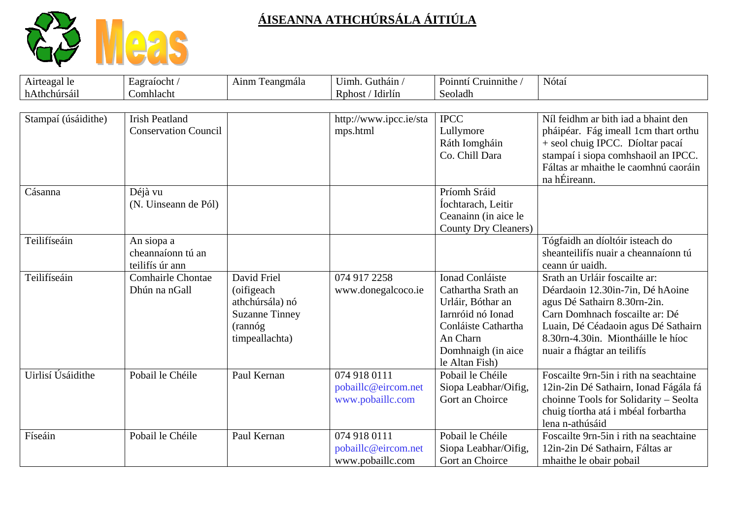

| Airteagal le<br>hAthchúrsáil | Eagraíocht /<br>Comhlacht                            | Ainm Teangmála                                                                                     | Uimh. Gutháin /<br>Rphost / Idirlín                     | Poinntí Cruinnithe /<br>Seoladh                                                                                                                                   | Nótaí                                                                                                                                                                                                                                           |
|------------------------------|------------------------------------------------------|----------------------------------------------------------------------------------------------------|---------------------------------------------------------|-------------------------------------------------------------------------------------------------------------------------------------------------------------------|-------------------------------------------------------------------------------------------------------------------------------------------------------------------------------------------------------------------------------------------------|
|                              |                                                      |                                                                                                    |                                                         |                                                                                                                                                                   |                                                                                                                                                                                                                                                 |
| Stampaí (úsáidithe)          | <b>Irish Peatland</b><br><b>Conservation Council</b> |                                                                                                    | http://www.ipcc.ie/sta<br>mps.html                      | <b>IPCC</b><br>Lullymore<br>Ráth Iomgháin<br>Co. Chill Dara                                                                                                       | Níl feidhm ar bith iad a bhaint den<br>pháipéar. Fág imeall 1cm thart orthu<br>+ seol chuig IPCC. Díoltar pacaí<br>stampaí i siopa comhshaoil an IPCC.<br>Fáltas ar mhaithe le caomhnú caoráin<br>na hÉireann.                                  |
| Cásanna                      | Déjà vu<br>(N. Uinseann de Pól)                      |                                                                                                    |                                                         | Príomh Sráid<br>Íochtarach, Leitir<br>Ceanainn (in aice le<br>County Dry Cleaners)                                                                                |                                                                                                                                                                                                                                                 |
| Teilifíseáin                 | An siopa a<br>cheannaíonn tú an<br>teilifís úr ann   |                                                                                                    |                                                         |                                                                                                                                                                   | Tógfaidh an díoltóir isteach do<br>sheanteilifís nuair a cheannaíonn tú<br>ceann úr uaidh.                                                                                                                                                      |
| Teilifíseáin                 | <b>Comhairle Chontae</b><br>Dhún na nGall            | David Friel<br>(oifigeach<br>athchúrsála) nó<br><b>Suzanne Tinney</b><br>(rannóg<br>timpeallachta) | 074 917 2258<br>www.donegalcoco.ie                      | <b>Ionad Conláiste</b><br>Cathartha Srath an<br>Urláir, Bóthar an<br>Iarnróid nó Ionad<br>Conláiste Cathartha<br>An Charn<br>Domhnaigh (in aice<br>le Altan Fish) | Srath an Urláir foscailte ar:<br>Déardaoin 12.30in-7in, Dé hAoine<br>agus Dé Sathairn 8.30rn-2in.<br>Carn Domhnach foscailte ar: Dé<br>Luain, Dé Céadaoin agus Dé Sathairn<br>8.30rn-4.30in. Miontháille le híoc<br>nuair a fhágtar an teilifís |
| Uirlisí Úsáidithe            | Pobail le Chéile                                     | Paul Kernan                                                                                        | 074 918 0111<br>pobaillc@eircom.net<br>www.pobaillc.com | Pobail le Chéile<br>Siopa Leabhar/Oifig,<br>Gort an Choirce                                                                                                       | Foscailte 9rn-5in i rith na seachtaine<br>12in-2in Dé Sathairn, Ionad Fágála fá<br>choinne Tools for Solidarity - Seolta<br>chuig tíortha atá i mbéal forbartha<br>lena n-athúsáid                                                              |
| Físeáin                      | Pobail le Chéile                                     | Paul Kernan                                                                                        | 074 918 0111<br>pobaillc@eircom.net<br>www.pobaillc.com | Pobail le Chéile<br>Siopa Leabhar/Oifig,<br>Gort an Choirce                                                                                                       | Foscailte 9rn-5in i rith na seachtaine<br>12in-2in Dé Sathairn, Fáltas ar<br>mhaithe le obair pobail                                                                                                                                            |